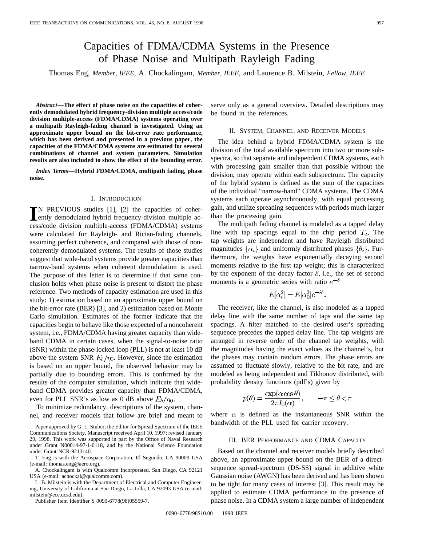# Capacities of FDMA/CDMA Systems in the Presence of Phase Noise and Multipath Rayleigh Fading

Thomas Eng, *Member, IEEE*, A. Chockalingam, *Member, IEEE*, and Laurence B. Milstein, *Fellow, IEEE*

*Abstract—***The effect of phase noise on the capacities of coherently demodulated hybrid frequency-division multiple access/code division multiple-access (FDMA/CDMA) systems operating over a multipath Rayleigh-fading channel is investigated. Using an approximate upper bound on the bit-error rate performance, which has been derived and presented in a previous paper, the capacities of the FDMA/CDMA systems are estimated for several combinations of channel and system parameters. Simulation results are also included to show the effect of the bounding error.**

*Index Terms—***Hybrid FDMA/CDMA, multipath fading, phase noise.**

## I. INTRODUCTION

**I**N PREVIOUS studies [1], [2] the capacities of coher-<br>ently demodulated hybrid frequency-division multiple ac-<br>example division multiple across (FOMA)(CDMA) surfaces ently demodulated hybrid frequency-division multiple access/code division multiple-access (FDMA/CDMA) systems were calculated for Rayleigh- and Rician-fading channels, assuming perfect coherence, and compared with those of noncoherently demodulated systems. The results of those studies suggest that wide-band systems provide greater capacities than narrow-band systems when coherent demodulation is used. The purpose of this letter is to determine if that same conclusion holds when phase noise is present to distort the phase reference. Two methods of capacity estimation are used in this study: 1) estimation based on an approximate upper bound on the bit-error rate (BER) [3], and 2) estimation based on Monte Carlo simulation. Estimates of the former indicate that the capacities begin to behave like those expected of a noncoherent system, i.e., FDMA/CDMA having greater capacity than wideband CDMA in certain cases, when the signal-to-noise ratio (SNR) within the phase-locked loop (PLL) is not at least 10 dB above the system SNR  $E_b/\eta_0$ . However, since the estimation is based on an upper bound, the observed behavior may be partially due to bounding errors. This is confirmed by the results of the computer simulation, which indicate that wideband CDMA provides greater capacity than FDMA/CDMA, even for PLL SNR's as low as 0 dB above  $E_b/\eta_0$ .

To minimize redundancy, descriptions of the system, channel, and receiver models that follow are brief and meant to

Paper approved by G. L. Stuber, the Editor for Spread Spectrum of the IEEE Communications Society. Manuscript received April 10, 1997; revised January 29, 1998. This work was supported in part by the Office of Naval Research under Grant N00014-97-1-0118, and by the National Science Foundation under Grant NCR-9213140.

T. Eng is with the Aerospace Corporation, El Segundo, CA 90009 USA (e-mail: thomas.eng@aero.org).

A. Chockalingam is with Qualcomm Incorporated, San Diego, CA 92121 USA (e-mail: achockal@qualcomm.com).

L. B. Milstein is with the Department of Electrical and Computer Engineering, University of California at San Diego, La Jolla, CA 92093 USA (e-mail: milstein@ece.ucsd.edu).

Publisher Item Identifier S 0090-6778(98)05559-7.

serve only as a general overview. Detailed descriptions may be found in the references.

### II. SYSTEM, CHANNEL, AND RECEIVER MODELS

The idea behind a hybrid FDMA/CDMA system is the division of the total available spectrum into two or more subspectra, so that separate and independent CDMA systems, each with processing gain smaller than that possible without the division, may operate within each subspectrum. The capacity of the hybrid system is defined as the sum of the capacities of the individual "narrow-band" CDMA systems. The CDMA systems each operate asynchronously, with equal processing gain, and utilize spreading sequences with periods much larger than the processing gain.

The multipath fading channel is modeled as a tapped delay line with tap spacings equal to the chip period  $T_c$ . The tap weights are independent and have Rayleigh distributed magnitudes  $\{\alpha_i\}$  and uniformly distributed phases  $\{\theta_i\}$ . Furthermore, the weights have exponentially decaying second moments relative to the first tap weight; this is characterized by the exponent of the decay factor  $\delta$ , i.e., the set of second moments is a geometric series with ratio  $e^{-\delta}$ 

$$
E[\alpha_i^2] = E[\alpha_0^2]e^{-i\ell}
$$

The receiver, like the channel, is also modeled as a tapped delay line with the same number of taps and the same tap spacings. A filter matched to the desired user's spreading sequence precedes the tapped delay line. The tap weights are arranged in reverse order of the channel tap weights, with the magnitudes having the exact values as the channel's, but the phases may contain random errors. The phase errors are assumed to fluctuate slowly, relative to the bit rate, and are modeled as being independent and Tikhonov distributed, with probability density functions (pdf's) given by

$$
p(\theta) = \frac{\exp(\alpha \cos \theta)}{2\pi I_0(\alpha)}, \qquad -\pi \le \theta < \pi
$$

where  $\alpha$  is defined as the instantaneous SNR within the bandwidth of the PLL used for carrier recovery.

## III. BER PERFORMANCE AND CDMA CAPACITY

Based on the channel and receiver models briefly described above, an approximate upper bound on the BER of a directsequence spread-spectrum (DS-SS) signal in additive white Gaussian noise (AWGN) has been derived and has been shown to be tight for many cases of interest [3]. This result may be applied to estimate CDMA performance in the presence of phase noise. In a CDMA system a large number of independent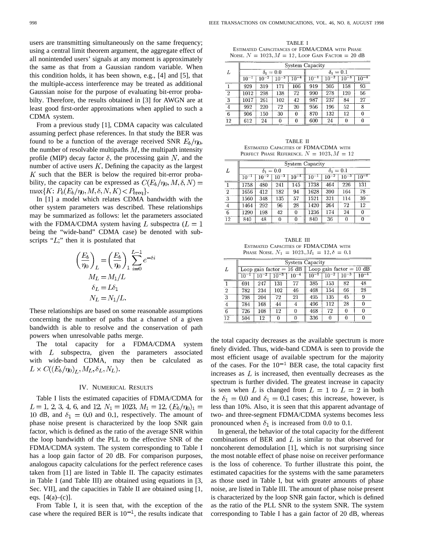users are transmitting simultaneously on the same frequency; using a central limit theorem argument, the aggregate effect of all nonintended users' signals at any moment is approximately the same as that from a Gaussian random variable. When this condition holds, it has been shown, e.g., [4] and [5], that the multiple-access interference may be treated as additional Gaussian noise for the purpose of evaluating bit-error probabilty. Therefore, the results obtained in [3] for AWGN are at least good first-order approximations when applied to such a CDMA system.

From a previous study [1], CDMA capacity was calculated assuming perfect phase references. In that study the BER was found to be a function of the average received SNR  $E_b/\eta_0$ , the number of resolvable multipaths  $M$ , the multipath intensity profile (MIP) decay factor  $\delta$ , the processing gain N, and the number of active users  $K$ . Defining the capacity as the largest  $K$  such that the BER is below the required bit-error probability, the capacity can be expressed as  $C(E_b/\eta_0, M, \delta, N)$  =  $\max\{K: P_b(E_b/\eta_0, M, \delta, N, K) \lt P_{breq}\}.$ 

In [1] a model which relates CDMA bandwidth with the other system parameters was described. These relationships may be summarized as follows: let the parameters associated with the FDMA/CDMA system having L subspectra ( $L = 1$ ) being the "wide-band" CDMA case) be denoted with subscripts " $L$ ;" then it is postulated that

$$
\left(\frac{E_b}{\eta_0}\right)_L = \left(\frac{E_b}{\eta_0}\right)_1 \sum_{i=0}^{L-1} e^{-\delta i}
$$

$$
M_L = M_1/L
$$

$$
\delta_L = L\delta_1
$$

$$
N_L = N_1/L.
$$

These relationships are based on some reasonable assumptions concerning the number of paths that a channel of a given bandwidth is able to resolve and the conservation of path powers when unresolvable paths merge.

The total capacity for a FDMA/CDMA system with  $L$  subspectra, given the parameters associated with wide-band CDMA, may then be calculated as  $L \times C((E_b/\eta_0)_L, M_L, \delta_L, N_L).$ 

## IV. NUMERICAL RESULTS

Table I lists the estimated capacities of FDMA/CDMA for  $L = 1, 2, 3, 4, 6,$  and 12,  $N_1 = 1023, M_1 = 12, (E_b/\eta_0)_1 =$ 10 dB, and  $\delta_1 = 0.0$  and 0.1, respectively. The amount of phase noise present is characterized by the loop SNR gain factor, which is defined as the ratio of the average SNR within the loop bandwidth of the PLL to the effective SNR of the FDMA/CDMA system. The system corresponding to Table I has a loop gain factor of 20 dB. For comparison purposes, analogous capacity calculations for the perfect reference cases taken from [1] are listed in Table II. The capacity estimates in Table I (and Table III) are obtained using equations in [3, Sec. VII], and the capacities in Table II are obtained using [1, eqs.  $[4(a)-(c)]$ .

From Table I, it is seen that, with the exception of the case where the required BER is  $10^{-1}$ , the results indicate that

TABLE I ESTIMATED CAPACITANCES OF FDMA/CDMA WITH PHASE NOISE.  $N = 1023, M = 12$ , LOOP GAIN FACTOR = 20 dB

|                  | <b>System Capacity</b> |           |           |           |                |           |           |           |
|------------------|------------------------|-----------|-----------|-----------|----------------|-----------|-----------|-----------|
| L                | $\delta_1=0.0$         |           |           |           | $\delta_1=0.1$ |           |           |           |
|                  | $10^{-1}$              | $10^{-2}$ | $10^{-3}$ | $10^{-4}$ | $10^{-1}$      | $10^{-2}$ | $10^{-3}$ | $10^{-4}$ |
|                  | 929                    | 319       | 171       | 106       | 919            | 305       | 158       | 93        |
| $\boldsymbol{2}$ | 1012                   | 298       | 138       | 72        | 990            | 278       | 120       | 56        |
| 3                | 1017                   | 261       | 102       | 42        | 987            | 237       | 84        | 27        |
| 4                | 992                    | 220       | 72        | 20        | 956            | 196       | 52        | 8         |
| 6                | 906                    | 150       | 30        | 0         | 870            | 132       | 12        | $\Omega$  |
| 12               | 612                    | 24        | $\theta$  | 0         | 600            | 24        | 0         | $\Omega$  |

TABLE II ESTIMATED CAPACITIES OF FDMA/CDMA WITH PERFECT PHASE REFERENCE.  $N = 1023, M = 12$ 

|                 | System Capacity |           |           |           |                |           |           |           |
|-----------------|-----------------|-----------|-----------|-----------|----------------|-----------|-----------|-----------|
| L               | $\delta_1=0.0$  |           |           |           | $\delta_1=0.1$ |           |           |           |
|                 | $10^{-1}$       | $10^{-2}$ | $10^{-3}$ | $10^{-4}$ | $10^{-1}$      | $10^{-2}$ | $10^{-3}$ | $10^{-4}$ |
| 1               | 1758            | 480       | 241       | 145       | 1738           | 464       | 226       | 131       |
| $\overline{2}$  | 1656            | 412       | 182       | 94        | 1628           | 390       | 164       | 78        |
| 3               | 1560            | 348       | 135       | 57        | 1521           | 321       | 114       | 39        |
| 4               | 1464            | 292       | 96        | 28        | 1420           | 264       | 72        | 12        |
| 6               | 1290            | 198       | 42        | 0         | 1236           | 174       | 24        | 0         |
| $\overline{12}$ | 840             | 48        | 0         | 0         | 840            | 36        | 0         | ŋ         |

TABLE III ESTIMATED CAPACITIES OF FDMA/CDMA WITH PHASE NOISE.  $N_1 = 1023, M_1 = 12, \delta = 0.1$ 

|              | <b>System Capacity</b> |           |           |                            |                            |     |           |           |
|--------------|------------------------|-----------|-----------|----------------------------|----------------------------|-----|-----------|-----------|
| L            |                        |           |           | Loop gain factor = $16 dB$ | Loop gain factor $= 10$ dB |     |           |           |
|              | $10^{-}$               | $10^{-2}$ | $10^{-3}$ | $10^{-4}$                  | $10^{-7}$                  |     | $10^{-3}$ | $10^{-4}$ |
|              | 691                    | 247       | 131       | 77                         | 385                        | 153 | 82        | 48        |
| $\mathbf{2}$ | 782                    | 234       | 102       | 46                         | 468                        | 154 | 66        | 28        |
| 3            | 798                    | 204       | 72        | 21                         | 495                        | 135 | 45        | 9         |
| 4            | 784                    | 168       | 44        | 4                          | 496                        | 112 | 28        |           |
| 6            | 726                    | 108       | 12        | 0                          | 468                        | 72  | 0         |           |
| 12           | 504                    | 12        |           | 0                          | 336                        | O   | 0         |           |

the total capacity decreases as the available spectrum is more finely divided. Thus, wide-band CDMA is seen to provide the most efficient usage of available spectrum for the majority of the cases. For the  $10^{-1}$  BER case, the total capacity first increases as  $L$  is increased, then eventually decreases as the spectrum is further divided. The greatest increase in capacity is seen when L is changed from  $L = 1$  to  $L = 2$  in both the  $\delta_1 = 0.0$  and  $\delta_1 = 0.1$  cases; this increase, however, is less than 10%. Also, it is seen that this apparent advantage of two- and three-segment FDMA/CDMA systems becomes less pronounced when  $\delta_1$  is increased from 0.0 to 0.1.

In general, the behavior of the total capacity for the different combinations of BER and  $L$  is similar to that observed for noncoherent demodulation [1], which is not surprising since the most notable effect of phase noise on receiver performance is the loss of coherence. To further illustrate this point, the estimated capacities for the systems with the same parameters as those used in Table I, but with greater amounts of phase noise, are listed in Table III. The amount of phase noise present is characterized by the loop SNR gain factor, which is defined as the ratio of the PLL SNR to the system SNR. The system corresponding to Table I has a gain factor of 20 dB, whereas